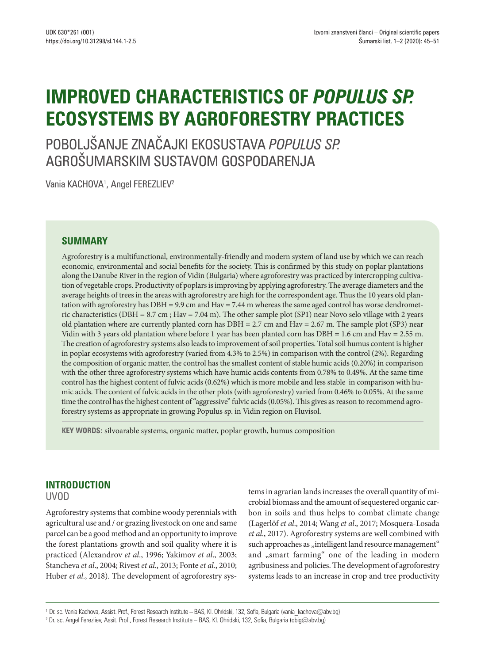# **IMPROVED CHARACTERISTICS OF** *POPULUS SP.* **ECOSYSTEMS BY AGROFORESTRY PRACTICES**

POBOLJŠANJE ZNAČAJKI EKOSUSTAVA *POPULUS SP.*  AGROŠUMARSKIM SUSTAVOM GOSPODARENJA

Vania KACHOVA<sup>1</sup>, Angel FEREZLIEV<sup>2</sup>

### **SUMMARY**

Agroforestry is a multifunctional, environmentally-friendly and modern system of land use by which we can reach economic, environmental and social benefits for the society. This is confirmed by this study on poplar plantations along the Danube Riverin the region of Vidin (Bulgaria) where agroforestry was practiced by intercropping cultivation of vegetable crops. Productivity of poplars is improving by applying agroforestry. The average diameters and the average heights of trees in the areas with agroforestry are high for the correspondent age. Thus the 10 years old plantation with agroforestry has DBH = 9.9 cm and Hav = 7.44 m whereas the same aged control has worse dendrometric characteristics (DBH = 8.7 cm ; Hav = 7.04 m). The other sample plot (SP1) near Novo selo village with 2 years old plantation where are currently planted corn has DBH = 2.7 cm and Hav = 2.67 m. The sample plot (SP3) near Vidin with 3 years old plantation where before 1 year has been planted corn has DBH = 1.6 cm and Hav = 2.55 m. The creation of agroforestry systems also leads to improvement of soil properties. Total soil humus content is higher in poplar ecosystems with agroforestry (varied from 4.3% to 2.5%) in comparison with the control (2%). Regarding the composition of organic matter, the control has the smallest content of stable humic acids (0.20%) in comparison with the other three agroforestry systems which have humic acids contents from 0.78% to 0.49%. At the same time control has the highest content of fulvic acids (0.62%) which is more mobile and less stable in comparison with humic acids. The content of fulvic acids in the other plots (with agroforestry) varied from 0.46% to 0.05%. At the same time the control has the highest content of "aggressive" fulvic acids (0.05%). This gives as reason to recommend agroforestry systems as appropriate in growing Populus sp. in Vidin region on Fluvisol.

**KEY WORDS:** silvoarable systems, organic matter, poplar growth, humus composition

## **INTRODUCTION**

UVOD

Agroforestry systems that combine woody perennials with agricultural use and / or grazing livestock on one and same parcel can be a good method and an opportunity to improve the forest plantations growth and soil quality where it is practiced (Alexandrov *et al*., 1996; Yakimov *et al*., 2003; Stancheva *et al*., 2004; Rivest *et al*., 2013; Fonte *et al.*, 2010; Huber *et al*., 2018). The development of agroforestry systems in agrarian lands increases the overall quantity of microbial biomass and the amount of sequestered organic carbon in soils and thus helps to combat climate change (Lagerlöf *et al*., 2014; Wang *et al*., 2017; Mosquera-Losada *et al*., 2017). Agroforestry systems are well combined with such approaches as "intelligent land resource management" and "smart farming" one of the leading in modern agribusiness and policies. The development of agroforestry systems leads to an increase in crop and tree productivity

<sup>1</sup> Dr. sc. Vania Kachova, Assist. Prof., Forest Research Institute – BAS, Kl. Ohridski, 132, Sofia, Bulgaria (vania kachova@abv.bg)

<sup>2</sup> Dr. sc. Angel Ferezliev, Assit. Prof., Forest Research Institute – BAS, Kl. Ohridski, 132, Sofia, Bulgaria (obig@abv.bg)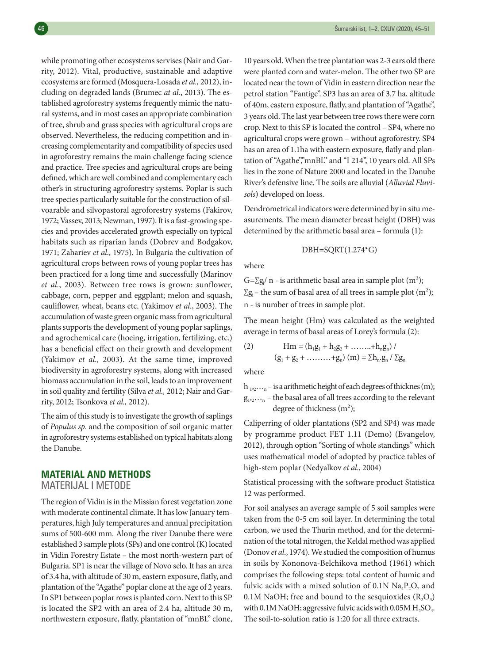while promoting other ecosystems servises (Nair and Garrity, 2012). Vital, productive, sustainable and adaptive ecosystems are formed (Mosquera-Losada *et al.,* 2012), including on degraded lands (Brumec *at al.*, 2013). The established agroforestry systems frequently mimic the natural systems, and in most cases an appropriate combination of tree, shrub and grass species with agricultural crops are observed. Nevertheless, the reducing competition and increasing complementarity and compatibility of species used in agroforestry remains the main challenge facing science and practice. Tree species and agricultural crops are being defined, which are well combined and complementary each other's in structuring agroforestry systems. Poplar is such tree species particularly suitable for the construction of silvoarable and silvopastoral agroforestry systems (Fakirov, 1972; Vassev, 2013; Newman, 1997). It is a fast-growing species and provides accelerated growth especially on typical habitats such as riparian lands (Dobrev and Bodgakov, 1971; Zahariev *et al*., 1975). In Bulgaria the cultivation of agricultural crops between rows of young poplar trees has been practiced for a long time and successfully (Marinov *et al.*, 2003). Between tree rows is grown: sunflower, cabbage, corn, pepper and eggplant; melon and squash, cauliflower, wheat, beans etc. (Yakimov *et al*., 2003). The accumulation of waste green organic mass from agricultural plants supports the development of young poplar saplings, and agrochemical care (hoeing, irrigation, fertilizing, etc.) has a beneficial effect on their growth and development (Yakimov *et al.,* 2003). At the same time, improved biodiversity in agroforestry systems, along with increased biomass accumulation in the soil, leads to an improvement in soil quality and fertility (Silva *et al.,* 2012; Nair and Garrity, 2012; Tsonkova *et al.,* 2012).

The aim of this study is to investigate the growth of saplings of *Populus sp.* and the composition of soil organic matter in agroforestry systems established on typical habitats along the Danube.

#### **MATERIAL AND METHODS**

MATERIJAL I METODE

The region of Vidin is in the Missian forest vegetation zone with moderate continental climate. It has low January temperatures, high July temperatures and annual precipitation sums of 500-600 mm. Along the river Danube there were established 3 sample plots (SPs) and one control (K) located in Vidin Forestry Estate – the most north-western part of Bulgaria. SP1 is near the village of Novo selo. It has an area of 3.4 ha,with altitude of 30 m, eastern exposure, flatly, and plantation of the "Agathe" poplar clone at the age of 2 years. In SP1 between poplar rows is planted corn. Next to this SP is located the SP2 with an area of 2.4 ha, altitude 30 m, northwestern exposure, flatly, plantation of "mnBL" clone,

10 years old. When the tree plantation was 2-3 ears old there were planted corn and water-melon. The other two SP are located near the town of Vidin in eastern direction near the petrol station "Fantige". SP3 has an area of 3.7 ha, altitude of 40m, eastern exposure, flatly, and plantation of"Agathe", 3 years old. The last year between tree rows there were corn crop. Next to this SP islocated the control – SP4, where no agricultural crops were grown – without agroforestry. SP4 has an area of 1.1ha with eastern exposure, flatly and plantation of "Agathe","mnBL" and "I 214", 10 years old. All SPs lies in the zone of Nature 2000 and located in the Danube River's defensive line. The soils are alluvial (*Alluvial Fluvisols*) developed on loess.

Dendrometrical indicatorswere determined by in situ measurements. The mean diameter breast height (DBH) was determined by the arithmetic basal area – formula (1):

$$
DBH = SQRT(1.274^*G)
$$

where

 $G=\sum g_i/n$  - is arithmetic basal area in sample plot  $(m^2)$ ;  $\Sigma$ g<sub>i</sub> – the sum of basal area of all trees in sample plot (m<sup>2</sup>); n - is number of trees in sample plot.

The mean height (Hm) was calculated as the weighted average in terms of basal areas of Lorey's formula (2):

(2) 
$$
\text{Hm} = (\text{h}_1 \text{g}_1 + \text{h}_2 \text{g}_2 + \dots + \text{h}_n \text{g}_n) / \\ (\text{g}_1 + \text{g}_2 + \dots + \text{g}_n) \text{ (m)} = \Sigma \text{h}_n \cdot \text{g}_n / \Sigma \text{g}_n
$$

where

 $h_{12}...h_{12}...h_{18}$  is a arithmetic height of each degrees of thicknes (m);  $g_{1,2},...,$  – the basal area of all trees according to the relevant degree of thickness (m²);

Caliperring of older plantations (SP2 and SP4) was made by programme product FET 1.11 (Demo) (Evangelov, 2012), through option "Sorting of whole standings" which uses mathematical model of adopted by practice tables of high-stem poplar (Nedyalkov *et al*., 2004)

Statistical processing with the software product Statistica 12 was performed.

For soil analyses an average sample of 5 soil samples were taken from the 0-5 cm soil layer. In determining the total carbon, we used the Thurin method, and for the determination of the total nitrogen, the Keldal method was applied (Donov et al., 1974). We studied the composition of humus in soils by Kononova-Belchikova method (1961) which comprises the following steps: total content of humic and fulvic acids with a mixed solution of 0.1N  $\text{Na}_4\text{P}_2\text{O}_7$  and 0.1M NaOH; free and bound to the sesquioxides  $(R_2O_3)$ with 0.1M NaOH; aggressive fulvic acids with  $0.05M$  H<sub>2</sub>SO<sub>4</sub>. The soil-to-solution ratio is 1:20 for all three extracts.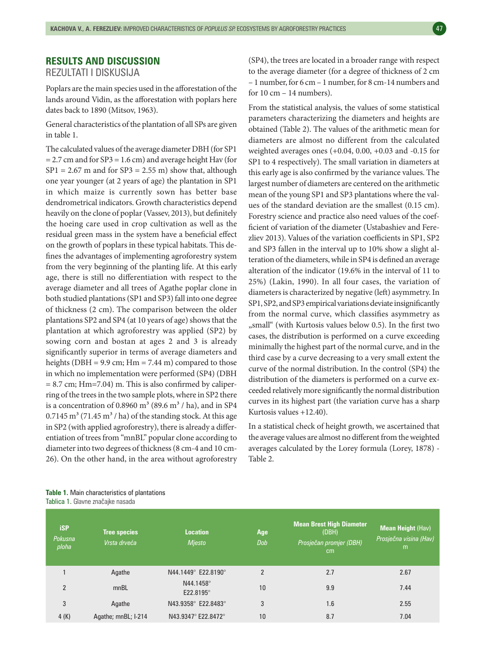## **RESULTS AND DISCUSSION**

REZULTATI I DISKUSIJA

Poplars are the main species used in the afforestation of the lands around Vidin, as the afforestation with poplars here dates back to 1890 (Mitsov, 1963).

General characteristics of the plantation of all SPs are given in table 1.

The calculated values of the average diameter DBH (for SP1 = 2.7 cm and for SP3 = 1.6 cm) and average height Hav (for  $SP1 = 2.67$  m and for  $SP3 = 2.55$  m) show that, although one year younger (at 2 years of age) the plantation in SP1 in which maize is currently sown has better base dendrometrical indicators. Growth characteristics depend heavily on the clone of poplar (Vassev, 2013), but definitely the hoeing care used in crop cultivation as well as the residual green mass in the system have a beneficial effect on the growth of poplars in these typical habitats. This defines the advantages of implementing agroforestry system from the very beginning of the planting life. At this early age, there is still no differentiation with respect to the average diameter and all trees of Agathe poplar clone in both studied plantations (SP1 and SP3) fall into one degree of thickness (2 cm). The comparison between the older plantations SP2 and SP4 (at 10 years of age) shows that the plantation at which agroforestry was applied (SP2) by sowing corn and bostan at ages 2 and 3 is already significantly superior in terms of average diameters and heights (DBH = 9.9 cm;  $Hm = 7.44$  m) compared to those in which no implementation were performed (SP4) (DBH  $= 8.7$  cm; Hm=7.04) m. This is also confirmed by caliperring of the trees in the two sample plots, where in SP2 there is a concentration of 0.8960  $m<sup>3</sup>$  (89.6  $m<sup>3</sup>$  / ha), and in SP4  $0.7145 \text{ m}^3$  (71.45 m<sup>3</sup> / ha) of the standing stock. At this age in SP2 (with applied agroforestry), there is already a differentiation of trees from "mnBL" popular clone according to diameterinto two degrees of thickness(8 cm-4 and 10 cm-26). On the other hand, in the area without agroforestry (SP4), the trees are located in a broader range with respect to the average diameter (for a degree of thickness of 2 cm – 1 number, for 6 cm – 1 number, for 8 cm-14 numbers and for  $10 \text{ cm} - 14 \text{ numbers}$ .

From the statistical analysis, the values of some statistical parameters characterizing the diameters and heights are obtained (Table 2). The values of the arithmetic mean for diameters are almost no different from the calculated weighted averages ones (+0.04, 0.00, +0.03 and -0.15 for SP1 to 4 respectively). The small variation in diameters at this early age is also confirmed by the variance values. The largest number of diameters are centered on the arithmetic mean of the young SP1 and SP3 plantations where the values of the standard deviation are the smallest (0.15 cm). Forestry science and practice also need values of the coefficient of variation of the diameter (Ustabashiev and Ferezliev 2013). Values of the variation coefficients in SP1, SP2 and SP3 fallen in the interval up to 10% show a slight alteration of the diameters,while in SP4 is defined an average alteration of the indicator (19.6% in the interval of 11 to 25%) (Lakin, 1990). In all four cases, the variation of diameters is characterized by negative (left) asymmetry. In SP1, SP2, and SP3 empirical variations deviate insignificantly from the normal curve, which classifies asymmetry as "small" (with Kurtosis values below 0.5). In the first two cases, the distribution is performed on a curve exceeding minimally the highest part of the normal curve, and in the third case by a curve decreasing to a very small extent the curve of the normal distribution. In the control (SP4) the distribution of the diameters is performed on a curve exceeded relatively more significantly the normal distribution curves in its highest part (the variation curve has a sharp Kurtosis values +12.40).

In a statistical check of height growth, we ascertained that the average values are almost no different from the weighted averages calculated by the Lorey formula (Lorey, 1878) - Table 2.

| <b>iSP</b><br>Pokusna<br>ploha | <b>Tree species</b><br>Vrsta drveća | <b>Location</b><br>Mjesto | Age<br>Dob     | <b>Mean Brest High Diameter</b><br>(DBH)<br>Prosječan promjer (DBH)<br><sub>cm</sub> | <b>Mean Height (Hav)</b><br>Prosječna visina (Hav)<br>m |
|--------------------------------|-------------------------------------|---------------------------|----------------|--------------------------------------------------------------------------------------|---------------------------------------------------------|
|                                | Agathe                              | N44.1449° E22.8190°       | $\mathfrak{p}$ | 2.7                                                                                  | 2.67                                                    |
| $\mathfrak{p}$                 | mnBL                                | N44.1458°<br>E22.8195°    | 10             | 9.9                                                                                  | 7.44                                                    |
| 3                              | Agathe                              | N43.9358° E22.8483°       | 3              | 1.6                                                                                  | 2.55                                                    |
| 4(K)                           | Agathe; mnBL; I-214                 | N43.9347° E22.8472°       | 10             | 8.7                                                                                  | 7.04                                                    |

**Table 1.** Main characteristics of plantations Tablica 1. Glavne značajke nasada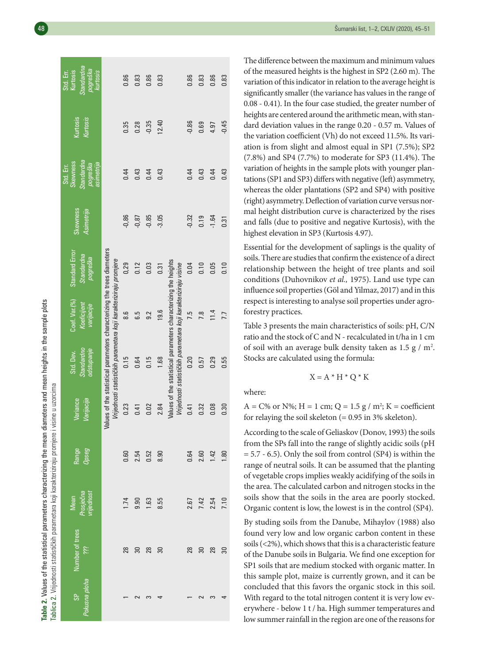| <b>Mullion Discriminal</b>                                 |                                                                                                                                                                                                                                                                                                      |
|------------------------------------------------------------|------------------------------------------------------------------------------------------------------------------------------------------------------------------------------------------------------------------------------------------------------------------------------------------------------|
| sin tha man disposters and moon houghts in the sample nint |                                                                                                                                                                                                                                                                                                      |
|                                                            | - 100 March 11                                                                                                                                                                                                                                                                                       |
|                                                            | - CHOHLAND CONG CALO - CALO - CALO - CALO - CALO - CALO - CALO - CALO - CALO - CALO - CALO - CALO - CALO - CALO - CALO - CALO - CALO - CALO - CALO - CALO - CALO - CALO - CALO - CALO - CALO - CALO - CALO - CALO - CALO - CAL<br>$\begin{array}{c} \n\cdot \\ \cdot \\ \cdot \\ \cdot\n\end{array}$ |
| Table 2. Values of the statistical parameters characterizi |                                                                                                                                                                                                                                                                                                      |
|                                                            |                                                                                                                                                                                                                                                                                                      |
|                                                            | i                                                                                                                                                                                                                                                                                                    |
|                                                            |                                                                                                                                                                                                                                                                                                      |
|                                                            |                                                                                                                                                                                                                                                                                                      |
|                                                            | ſ<br>Fahlica                                                                                                                                                                                                                                                                                         |

<u>ର</u>

|                                                                                                  | Standardna<br>pogreška<br>Kurtosis<br>Std. Err.<br>kurtosis   |                                                                                                                                              | 0.86    | 0.83    | 0.86    | 0.83            |                                                                                                                                    | 0.86    | 0.83 | 0.86    | 0.83            |
|--------------------------------------------------------------------------------------------------|---------------------------------------------------------------|----------------------------------------------------------------------------------------------------------------------------------------------|---------|---------|---------|-----------------|------------------------------------------------------------------------------------------------------------------------------------|---------|------|---------|-----------------|
|                                                                                                  | Kurtosis<br>Kurtosis                                          |                                                                                                                                              | 0.35    | 0.28    | $-0.35$ | 12.40           |                                                                                                                                    | $-0.86$ | 0.69 | 4.97    | $-0.45$         |
|                                                                                                  | Standardna<br>Skewness<br>asimetrija<br>pogreška<br>Std. Err. |                                                                                                                                              | 0.44    | 0.43    | 0.44    | 0.43            |                                                                                                                                    | 0.44    | 0.43 | 0.44    | 0.43            |
|                                                                                                  | Skewness<br>Asimetrija                                        |                                                                                                                                              | $-0,86$ | $-0,87$ | $-0.85$ | $-3.05$         |                                                                                                                                    | $-0.32$ | 0.19 | $-1.64$ | 0.31            |
|                                                                                                  | <b>Standard Error</b><br>Standardna<br>pogreška               |                                                                                                                                              | 0,29    | 0.12    | 0.03    | 0.31            |                                                                                                                                    | 0.04    | 0.10 | 0.05    | 0.10            |
|                                                                                                  | Coef. Var. (%)<br>Koeficijent<br>varijacije                   | Values of the statistical parameters characterizing the trees diameters<br>Vrijednosti statističkih parametara koji karakteriziraju promjere | 8.6     | G.5     | 9.2     | 19.6            | Values of the statistical parameters characterizing the heights<br>Vrijednosti statističkih parametara koji karakteriziraju visine | 7.5     | 7.8  | 11.4    | 7.7             |
|                                                                                                  | odstupanje<br>Standardno<br>Std. Dev.                         |                                                                                                                                              | 0.15    | 0.64    | 0.15    | 1.68            |                                                                                                                                    | 0.20    | 0.57 | 0.29    | 0.55            |
|                                                                                                  | Varijacija<br>Variance                                        |                                                                                                                                              | 0.23    | 0.41    | 0.02    | 2.84            |                                                                                                                                    | 0.41    | 0.32 | 0.08    | 0.30            |
|                                                                                                  | Range<br>Opseg                                                |                                                                                                                                              | 0.60    | 2.54    | 0.52    | 8.90            |                                                                                                                                    | 0.64    | 2.60 | 1.42    | 1.80            |
|                                                                                                  | Prosječna<br>vrijednost<br>Mean                               |                                                                                                                                              | 1.74    | 9.90    | 1.63    | 8.55            |                                                                                                                                    | 2.67    | 7.42 | 2.54    | 7.10            |
|                                                                                                  | Number of trees<br>iil                                        |                                                                                                                                              | 28      | 30      | 28      | $\overline{30}$ |                                                                                                                                    | 28      | 30   | 28      | $\overline{30}$ |
| Tablica 2. Vrijednosti statističkih parametara koji karakteriziraju promjere i visine u uzorcima | Pokusna ploha<br><b>GP</b>                                    |                                                                                                                                              |         | $\sim$  |         |                 |                                                                                                                                    |         |      |         |                 |

The difference between the maximum and minimum values of the measured heights is the highest in SP2 (2.60 m). The variation of this indicator in relation to the average height is significantly smaller (the variance has values in the range of 0.08 - 0.41). In the four case studied, the greater number of heights are centered around the arithmetic mean, with standard deviation values in the range 0.20 - 0.57 m. Values of the variation coefficient (Vh) do not exceed 11.5%. Its vari ation is from slight and almost equal in SP1 (7.5%); SP2 (7.8%) and SP4 (7.7%) to moderate for SP3 (11.4%). The variation of heights in the sample plots with younger plan tations(SP1 and SP3) differswith negative (left) asymmetry, whereas the older plantations (SP2 and SP4) with positive (right) asymmetry.Deflection of variation curve versus nor mal height distribution curve is characterized by the rises and falls (due to positive and negative Kurtosis), with the highest elevation in SP3 (Kurtosis 4.97).

Essential for the development of saplings is the quality of soils. There are studies that confirm the existence of a direct relationship between the height of tree plants and soil conditions (Duhovnikov *et al.,* 1975). Land use type can influence soil properties (Göl and Yilmaz, 2017) and in this respect is interesting to analyse soil properties under agro forestry practices.

Table 3 presents the main characteristics of soils: pH, C/N ratio and the stock of Cand N -recalculated in t/ha in 1 cm of soil with an average bulk density taken as  $1.5 \text{ g} / \text{m}^2$ . Stocks are calculated using the formula:

$$
X = A * H * Q * K
$$

where:

 $A = C\%$  or N%; H = 1 cm; Q = 1.5 g / m<sup>2</sup>; K = coefficient for relaying the soil skeleton  $(= 0.95 \text{ in } 3\% \text{ skeleton}).$ 

According to the scale of Geliaskov (Donov, 1993) the soils from the SPs fall into the range of slightly acidic soils (pH  $= 5.7 - 6.5$ ). Only the soil from control (SP4) is within the range of neutral soils. It can be assumed that the planting of vegetable crops implies weakly acidifying of the soils in the area. The calculated carbon and nitrogen stocks in the soils show that the soils in the area are poorly stocked. Organic content is low, the lowest is in the control (SP4).

By studing soils from the Danube, Mihaylov (1988) also found very low and low organic carbon content in these soils  $(<$  2%), which shows that this is a characteristic feature of the Danube soils in Bulgaria. We find one exception for SP1 soils that are medium stocked with organic matter. In this sample plot, maize is currently grown, and it can be concluded that this favors the organic stock in this soil. With regard to the total nitrogen content it is very low everywhere - below 1 t / ha. High summer temperatures and low summer rainfall in the region are one of the reasons for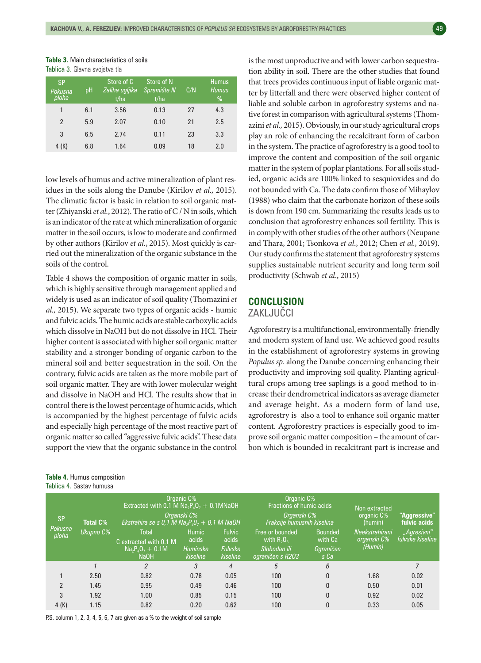| <b>Table 3.</b> Main characteristics of soils |
|-----------------------------------------------|
| Tablica 3. Glavna svojstva tla                |

| <b>SP</b><br>Pokusna<br>ploha | pH  | Store of C<br>Zaliha ugljika<br>t/ha | Store of N<br>Spremište N<br>t/ha | C/N | <b>Humus</b><br><b>Humus</b><br>% |
|-------------------------------|-----|--------------------------------------|-----------------------------------|-----|-----------------------------------|
| 1                             | 6.1 | 3.56                                 | 0.13                              | 27  | 4.3                               |
| $\overline{2}$                | 5.9 | 2.07                                 | 0.10                              | 21  | 2.5                               |
| 3                             | 6.5 | 2.74                                 | 0.11                              | 23  | 3.3                               |
| 4 (K)                         | 6.8 | 1.64                                 | 0.09                              | 18  | 2.0                               |

low levels of humus and active mineralization of plant residues in the soils along the Danube (Kirilov *et al.,* 2015). The climatic factor is basic in relation to soil organic matter (Zhiyanski et al., 2012). The ratio of C / N in soils, which is an indicator of the rate at which mineralization of organic matter in the soil occurs, is low to moderate and confirmed by other authors (Kirilov *et al.*, 2015). Most quickly is carried out the mineralization of the organic substance in the soils of the control.

Table 4 shows the composition of organic matter in soils, which is highly sensitive through management applied and widely is used as an indicator of soil quality (Thomazini *et al.,* 2015). We separate two types of organic acids - humic and fulvic acids.The humic acids are stable carboxylic acids which dissolve in NaOH but do not dissolve in HCl. Their higher content is associated with higher soil organic matter stability and a stronger bonding of organic carbon to the mineral soil and better sequestration in the soil. On the contrary, fulvic acids are taken as the more mobile part of soil organic matter. They are with lower molecular weight and dissolve in NaOH and HCl. The results show that in control there is the lowest percentage of humic acids, which is accompanied by the highest percentage of fulvic acids and especially high percentage of the most reactive part of organic matter so called "aggressive fulvic acids". These data support the view that the organic substance in the control

# **Table 4.** Humus composition

Tablica 4. Sastav humusa

is the most unproductive and with lower carbon sequestration ability in soil. There are the other studies that found that trees provides continuous input of liable organic matter by litterfall and there were observed higher content of liable and soluble carbon in agroforestry systems and native forest in comparison with agricultural systems (Thomazini *et al.,* 2015). Obviously, in our study agricultural crops play an role of enhancing the recalcitrant form of carbon in the system. The practice of agroforestry is a good tool to improve the content and composition of the soil organic matter in the system of poplar plantations. For all soils studied, organic acids are 100% linked to sesquioxides and do not bounded with Ca. The data confirm those of Mihaylov (1988) who claim that the carbonate horizon of these soils is down from 190 cm. Summarizing the results leads us to conclusion that agroforestry enhances soil fertility. This is in comply with other studies of the other authors (Neupane and Thara, 2001; Tsonkova *et al*., 2012; Chen *et al.,* 2019). Our study confirms the statement that agroforestry systems supplies sustainable nutrient security and long term soil productivity (Schwab *et al*., 2015)

#### **CONCLUSION**

#### ZAKLJUČCI

Agroforestry is a multifunctional, environmentally-friendly and modern system of land use. We achieved good results in the establishment of agroforestry systems in growing *Populus sp.* along the Danube concerning enhancing their productivity and improving soil quality. Planting agricultural crops among tree saplings is a good method to increase their dendrometrical indicators as average diameter and average height. As a modern form of land use, agroforestry is also a tool to enhance soil organic matter content. Agroforestry practices is especially good to improve soil organic matter composition – the amount of carbon which is bounded in recalcitrant part is increase and

| <b>SP</b><br>Pokusna | <b>Total C%</b><br>Ukupno C% | Organic C%<br>Extracted with 0.1 M $Na_2P_4O_7 + 0.1MNaOH$<br>Organski C%<br>Ekstrahira se s 0,1 M Na <sub>2</sub> $P_4O_7 + 0.7$ M NaOH<br><b>Total</b><br><b>Fulvic</b><br><b>Humic</b> |                             |                            | Organic C%<br>Fractions of humic acids<br>Organski C%<br>Frakcije humusnih kiselina<br>Free or bounded | <b>Bounded</b>           | Non extracted<br>organic C%<br>(humin)<br>Neekstrahirani | "Aggressive"<br>fulvic acids<br>"Agresivni" |
|----------------------|------------------------------|-------------------------------------------------------------------------------------------------------------------------------------------------------------------------------------------|-----------------------------|----------------------------|--------------------------------------------------------------------------------------------------------|--------------------------|----------------------------------------------------------|---------------------------------------------|
| ploha                |                              | C extracted with 0.1 M                                                                                                                                                                    | acids<br>acids              |                            | with $R_2O_3$                                                                                          | with Ca                  | organski C%                                              | fulvske kiseline                            |
|                      |                              | $Na_2P_4O_7 + 0.1M$<br><b>NaOH</b>                                                                                                                                                        | <b>Huminske</b><br>kiseline | <b>Fulvske</b><br>kiseline | Slobodan ili<br>ograničen s R2O3                                                                       | <b>Ograničen</b><br>s Ca | (Humin)                                                  |                                             |
|                      |                              | $\mathfrak{p}$                                                                                                                                                                            | 3                           | 4                          | 5                                                                                                      | 6                        |                                                          |                                             |
|                      | 2.50                         | 0.82                                                                                                                                                                                      | 0.78                        | 0.05                       | 100                                                                                                    | 0                        | 1.68                                                     | 0.02                                        |
| $\mathfrak{p}$       | 1.45                         | 0.95                                                                                                                                                                                      | 0.49                        | 0.46                       | 100                                                                                                    | $\Omega$                 | 0.50                                                     | 0.01                                        |
| 3                    | 1.92                         | 1.00                                                                                                                                                                                      | 0.85                        | 0.15                       | 100                                                                                                    | $\mathbf{0}$             | 0.92                                                     | 0.02                                        |
| 4(K)                 | 1.15                         | 0.82                                                                                                                                                                                      | 0.20                        | 0.62                       | 100                                                                                                    | $\mathbf{0}$             | 0.33                                                     | 0.05                                        |

P.S. column 1, 2, 3, 4, 5, 6, 7 are given as a % to the weight of soil sample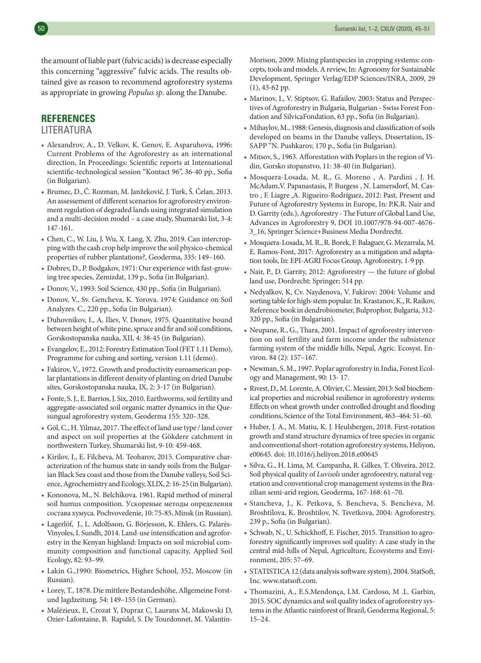the amount of liable part (fulvic acids) is decrease especially this concerning "aggressive" fulvic acids. The results obtained give as reason to recommend agroforestry systems as appropriate in growing *Populus sp*. along the Danube.

#### **REFERENCES**

#### LITERATURA

- Alexandrov, A., D. Velkov, K. Genov, E. Asparuhova, 1996: Current Problems of the Agroforestry as an international direction, In Proceedings: Scientific reports at International scientific-technological session "Kontact 96", 36-40 pp., Sofia (in Bulgarian).
- Brumec, D., Č. Rozman, M. Janžekovič, J. Turk, Š. Čelan, 2013. An assessement of different scenarios for agroforestry environment regulation of degraded lands using integrated simulation and a multi-decision model – a case study, Shumarski list, 3-4: 147-161.
- Chen, C., W. Liu, J. Wu, X. Lang, X. Zhu, 2019. Can intercroppingwith the cash crop help improve the soil physico-chemical properties of rubber plantations?, Geoderma, 335: 149–160.
- Dobrev, D., P. Bodgakov, 1971: Our experience with fast-growing tree species, Zemizdat, 139 p., Sofia (in Bulgarian).
- Donov, V., 1993: Soil Science, 430 pp., Sofia (in Bulgarian).
- Donov, V., Sv. Gencheva, K. Yorova. 1974: Guidance on Soil Analyzes. C., 220 pp., Sofia (in Bulgarian).
- Duhovnikov, I., A. Iliev, V. Donov, 1975. Quantitative bound between height of white pine, spruce and fir and soil conditions, Gorskostopanska nauka, XII, 4: 38-45 (in Bulgarian).
- Evangelov, E., 2012: Forestry Estimation Tool (FET 1.11 Demo), Programme for cubing and sorting, version 1.11 (demo).
- Fakirov, V., 1972. Growth and productivity euroamerican poplar plantations in different density of planting on dried Danube sites, Gorskostopanska nauka, IX, 2: 3-17 (in Bulgarian).
- Fonte, S. J., E. Barrios, J. Six, 2010. Earthworms, soil fertility and aggregate-associated soil organic matter dynamics in the Quesungual agroforestry system, Geoderma 155: 320–328.
- Göl, C., H. Yilmaz, 2017. The effect of land use type / land cover and aspect on soil properties at the Gökdere catchment in northwestern Turkey, Shumarski list, 9-10: 459-468.
- Kirilov, I., E. Filcheva, M. Teoharov, 2015. Comparative characterization of the humus state in sandy soils from the Bulgarian Black Sea coast and those from the Danube valleys, Soil Science, Agrochemistry and Ecology, XLIX, 2: 16-25 (in Bulgarian).
- Kononova, M., N. Belchikova. 1961. Rapid method of mineral soil humus composition. Ускореные методы определения состава хумуса. Pochvovedenie, 10: 75-85, Minsk (in Russian).
- Lagerlöf, J., L. Adolfsson, G. Börjesson, K. Ehlers, G. Palarès-Vinyoles,I. Sundh, 2014. Land-use intensification and agroforestry in the Kenyan highland: Impacts on soil microbial community composition and functional capacity, Applied Soil Ecology, 82: 93–99.
- Lakin G.,1990: Biometrics, Higher School, 352, Moscow (in Russian).
- Lorey, T., 1878. Die mittlere Bestandeshöhe, Allgemeine Forstund Jagdzeitung*,* 54: 149–155 (in German).
- Malézieux, E, Crozat Y, Dupraz C, Laurans M, Makowski D, Ozier-Lafontaine, B. Rapidel, S. De Tourdonnet, M. Valantin-

Morison, 2009: Mixing plantspecies in cropping systems: concepts, tools and models. A review, In: Agronomy for Sustainable Development, Springer Verlag/EDP Sciences/INRA, 2009, 29 (1), 43-62 pp.

- Marinov, I., V. Stiptsov, G. Rafailov, 2003: Status and Perspectives of Agroforestry in Bulgaria, Bulgarian - Swiss Forest Fondation and SilvicaFondation, 63 pp., Sofia (in Bulgarian).
- Mihaylov, M., 1988: Genesis, diagnosis and classification of soils developed on beams in the Danube valleys, Dissertation, IS-SAPP "N. Pushkarov, 170 p., Sofia (in Bulgarian).
- Mitsov, S., 1963. Afforestation with Poplarsin the region of Vidin, Gorsko stopanstvo, 11: 38-40 (in Bulgarian).
- Mosquera-Losada, M. R., G. Moreno , A. Pardini , J. H. McAdam,V. Papanastasis, P. Burgess , N. Lamersdorf, M. Castro , F. Liagre ,A. Rigueiro-Rodríguez, 2012: Past, Present and Future of Agroforestry Systems in Europe, In: P.K.R. Nair and D. Garrity (eds.), Agroforestry - The Future of Global Land Use, Advances in Agroforestry 9, DOI 10.1007/978-94-007-4676- 3\_16, Springer Science+Business Media Dordrecht.
- Mosquera-Losada,M.R.,R.Borek, F.Balaguer, G.Mezarrala,M. E. Ramos-Font, 2017: Agroforestry as a mitigation and adaptation tools, In: EPI-AGRI Focus Group, Agroforestry, 1-9 pp.
- Nair, P., D. Garrity, 2012: Agroforestry the future of global land use, Dordrecht: Springer; 514 pp.
- Nedyalkov, K, Cv. Naydenova, V. Fakirov: 2004: Volume and sorting table for high-stem popular. In. Krastanov, K., R. Raikov, Reference book in dendrobiometer, Bulprophor, Bulgaria, 312- 320 pp., Sofia (in Bulgarian).
- Neupane, R., G., Thara, 2001. Impact of agroforestry intervention on soil fertility and farm income under the subsistence farming system of the middle hills, Nepal, Agric. Ecosyst. Environ. 84 (2): 157–167.
- Newman, S. M., 1997. Poplar agroforestry in India, Forest Ecology and Management, 90: 13- 17.
- Rivest,D.,M. Lorente,A.Olivier,C.Messier, 2013: Soil biochemical properties and microbial resilience in agroforestry systems: Effects on wheat growth under controlled drought and flooding conditions, Science of the Total Environment, 463–464: 51–60.
- Huber, J. A., M. Matiu, K. J. Heulsbergen, 2018. First-rotation growth and stand structure dynamics of tree speciesin organic and conventional short-rotation agroforestry systems, Heliyon, e00645. doi: 10.1016/j.heliyon.2018.e00645
- Silva, G., H. Lima, M. Campanha, R. Gilkes, T. Oliveira, 2012. Soil physical quality of *Luvisols* under agroforestry, natural vegetation and conventional crop management systems in the Brazilian semi-arid region, Geoderma, 167-168: 61–70.
- Stancheva, J., K. Petkova, S. Bencheva, S. Bencheva, M. Broshtilova, K. Broshtilov, N. Tsvetkova, 2004: Agroforestry, 239 p., Sofia (in Bulgarian).
- Schwab, N., U. Schickhoff, E. Fischer, 2015. Transition to agroforestry significantly improves soil quality: A case study in the central mid-hills of Nepal, Agriculture, Ecosystems and Environment, 205: 57–69.
- STATISTICA 12 (data analysis software system), 2004. StatSoft, Inc. www.statsoft.com.
- Thomazini, A., E.S.Mendonça, I.M. Cardoso, M .L. Garbin, 2015. SOC dynamics and soil quality index of agroforestry systems in the Atlantic rainforest of Brazil, Geoderma Regional, 5: 15–24.